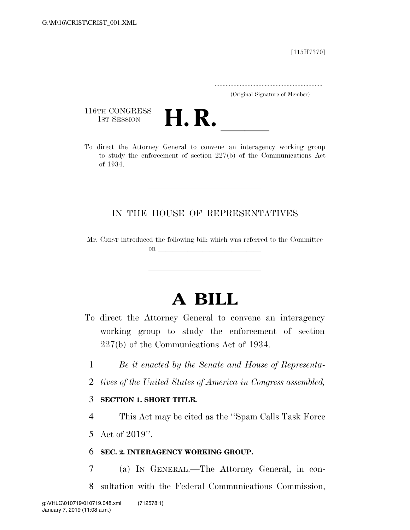[115H7370]

.....................................................................

(Original Signature of Member)

116TH CONGRESS<br>1st Session



116TH CONGRESS<br>
1ST SESSION<br>
To direct the Attorney General to convene an interagency working group to study the enforcement of section 227(b) of the Communications Act of 1934.

## IN THE HOUSE OF REPRESENTATIVES

Mr. CRIST introduced the following bill; which was referred to the Committee on  $\overline{\qquad \qquad }$ 

## **A BILL**

- To direct the Attorney General to convene an interagency working group to study the enforcement of section 227(b) of the Communications Act of 1934.
	- 1 *Be it enacted by the Senate and House of Representa-*
	- 2 *tives of the United States of America in Congress assembled,*

## 3 **SECTION 1. SHORT TITLE.**

4 This Act may be cited as the ''Spam Calls Task Force

5 Act of 2019''.

## 6 **SEC. 2. INTERAGENCY WORKING GROUP.**

7 (a) IN GENERAL.—The Attorney General, in con-8 sultation with the Federal Communications Commission,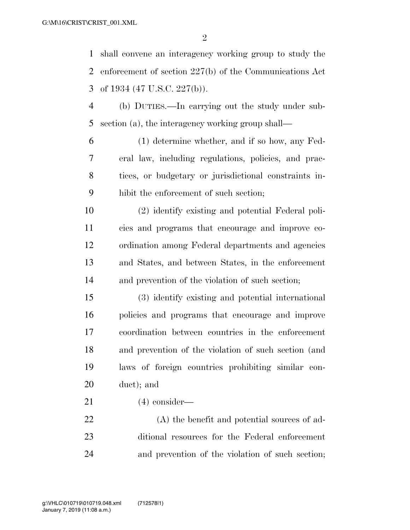shall convene an interagency working group to study the enforcement of section 227(b) of the Communications Act of 1934 (47 U.S.C. 227(b)).

 (b) DUTIES.—In carrying out the study under sub-section (a), the interagency working group shall—

 (1) determine whether, and if so how, any Fed- eral law, including regulations, policies, and prac- tices, or budgetary or jurisdictional constraints in-hibit the enforcement of such section;

 (2) identify existing and potential Federal poli- cies and programs that encourage and improve co- ordination among Federal departments and agencies and States, and between States, in the enforcement and prevention of the violation of such section;

 (3) identify existing and potential international policies and programs that encourage and improve coordination between countries in the enforcement and prevention of the violation of such section (and laws of foreign countries prohibiting similar con-duct); and

(4) consider—

 (A) the benefit and potential sources of ad- ditional resources for the Federal enforcement and prevention of the violation of such section;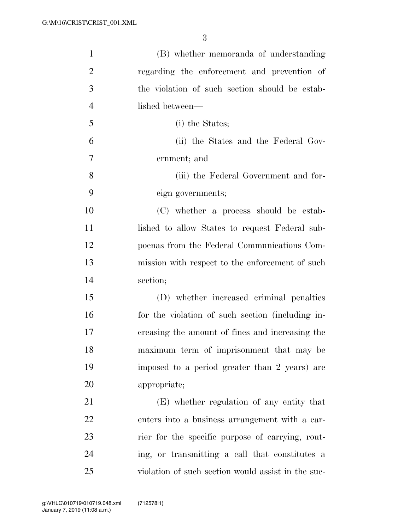| $\mathbf{1}$   | (B) whether memoranda of understanding             |
|----------------|----------------------------------------------------|
| $\overline{2}$ | regarding the enforcement and prevention of        |
| 3              | the violation of such section should be estab-     |
| $\overline{4}$ | lished between—                                    |
| 5              | (i) the States;                                    |
| 6              | (ii) the States and the Federal Gov-               |
| $\overline{7}$ | ernment; and                                       |
| 8              | (iii) the Federal Government and for-              |
| 9              | eign governments;                                  |
| 10             | (C) whether a process should be estab-             |
| 11             | lished to allow States to request Federal sub-     |
| 12             | poenas from the Federal Communications Com-        |
| 13             | mission with respect to the enforcement of such    |
| 14             | section;                                           |
| 15             | (D) whether increased criminal penalties           |
| 16             | for the violation of such section (including in-   |
| 17             | creasing the amount of fines and increasing the    |
| 18             | maximum term of imprisonment that may be           |
| 19             | imposed to a period greater than 2 years) are      |
| 20             | appropriate;                                       |
| 21             | (E) whether regulation of any entity that          |
| 22             | enters into a business arrangement with a car-     |
| 23             | rier for the specific purpose of carrying, rout-   |
| 24             | ing, or transmitting a call that constitutes a     |
| 25             | violation of such section would assist in the suc- |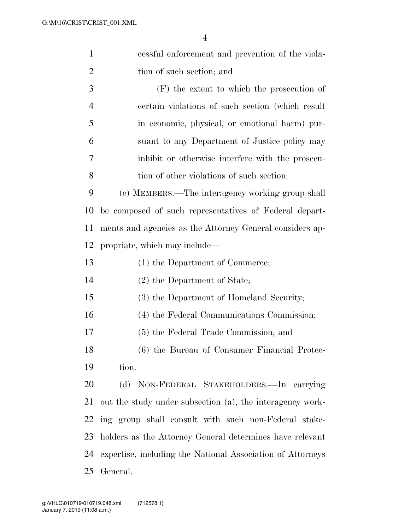| $\mathbf{1}$   | essful enforcement and prevention of the viola-            |
|----------------|------------------------------------------------------------|
| $\overline{2}$ | tion of such section; and                                  |
| 3              | $(F)$ the extent to which the prosecution of               |
| $\overline{4}$ | certain violations of such section (which result           |
| 5              | in economic, physical, or emotional harm) pur-             |
| 6              | suant to any Department of Justice policy may              |
| 7              | inhibit or otherwise interfere with the prosecu-           |
| 8              | tion of other violations of such section.                  |
| 9              | (c) MEMBERS.—The interagency working group shall           |
| 10             | be composed of such representatives of Federal depart-     |
| 11             | ments and agencies as the Attorney General considers ap-   |
| 12             | propriate, which may include—                              |
| 13             | (1) the Department of Commerce;                            |
| 14             | (2) the Department of State;                               |
| 15             | (3) the Department of Homeland Security;                   |
| 16             | (4) the Federal Communications Commission;                 |
| 17             | (5) the Federal Trade Commission; and                      |
| 18             | (6) the Bureau of Consumer Financial Protec-               |
| 19             | tion.                                                      |
| 20             | (d) NON-FEDERAL STAKEHOLDERS.—In carrying                  |
| 21             | out the study under subsection (a), the interagency work-  |
| 22             | ing group shall consult with such non-Federal stake-       |
| 23             | holders as the Attorney General determines have relevant   |
| 24             | expertise, including the National Association of Attorneys |
| 25             | General.                                                   |